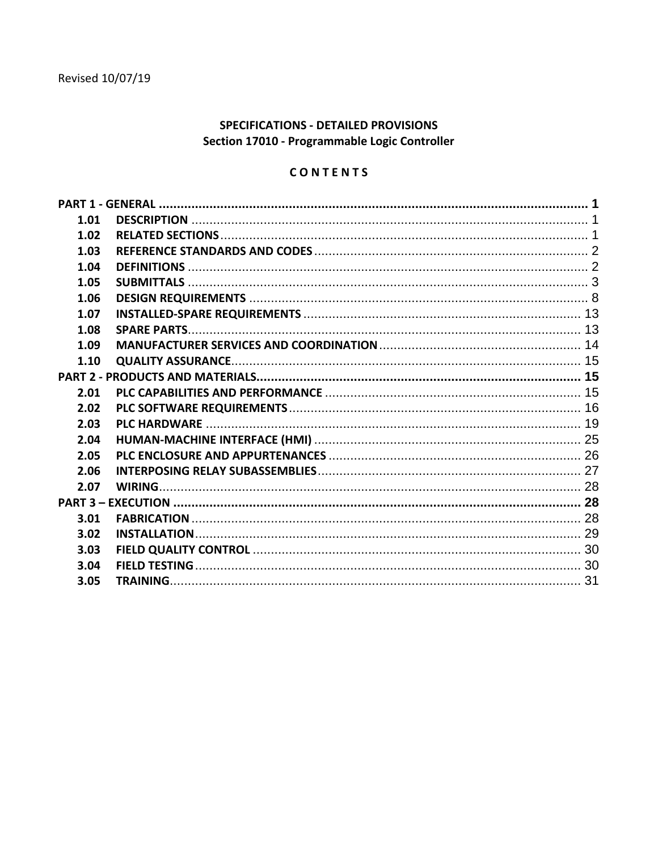# SPECIFICATIONS - DETAILED PROVISIONS Section 17010 - Programmable Logic Controller

# CONTENTS

| 1.01 |  |  |  |  |
|------|--|--|--|--|
| 1.02 |  |  |  |  |
| 1.03 |  |  |  |  |
| 1.04 |  |  |  |  |
| 1.05 |  |  |  |  |
| 1.06 |  |  |  |  |
| 1.07 |  |  |  |  |
| 1.08 |  |  |  |  |
| 1.09 |  |  |  |  |
| 1.10 |  |  |  |  |
|      |  |  |  |  |
| 2.01 |  |  |  |  |
| 2.02 |  |  |  |  |
| 2.03 |  |  |  |  |
| 2.04 |  |  |  |  |
| 2.05 |  |  |  |  |
| 2.06 |  |  |  |  |
| 2.07 |  |  |  |  |
|      |  |  |  |  |
| 3.01 |  |  |  |  |
| 3.02 |  |  |  |  |
| 3.03 |  |  |  |  |
| 3.04 |  |  |  |  |
| 3.05 |  |  |  |  |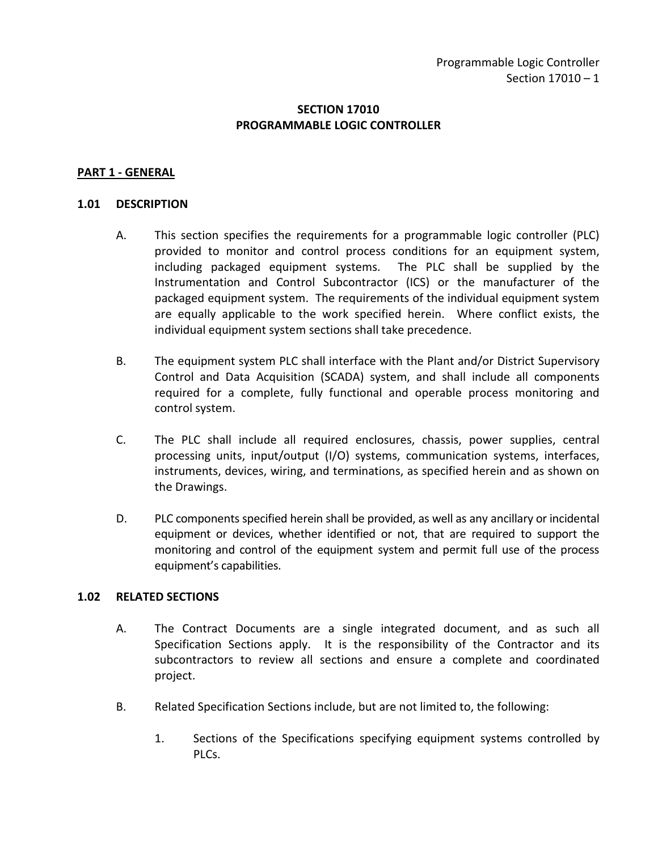## **SECTION 17010 PROGRAMMABLE LOGIC CONTROLLER**

#### <span id="page-2-0"></span>**PART 1 - GENERAL**

#### <span id="page-2-1"></span>**1.01 DESCRIPTION**

- A. This section specifies the requirements for a programmable logic controller (PLC) provided to monitor and control process conditions for an equipment system, including packaged equipment systems. The PLC shall be supplied by the Instrumentation and Control Subcontractor (ICS) or the manufacturer of the packaged equipment system. The requirements of the individual equipment system are equally applicable to the work specified herein. Where conflict exists, the individual equipment system sections shall take precedence.
- B. The equipment system PLC shall interface with the Plant and/or District Supervisory Control and Data Acquisition (SCADA) system, and shall include all components required for a complete, fully functional and operable process monitoring and control system.
- C. The PLC shall include all required enclosures, chassis, power supplies, central processing units, input/output (I/O) systems, communication systems, interfaces, instruments, devices, wiring, and terminations, as specified herein and as shown on the Drawings.
- D. PLC components specified herein shall be provided, as well as any ancillary or incidental equipment or devices, whether identified or not, that are required to support the monitoring and control of the equipment system and permit full use of the process equipment's capabilities.

#### <span id="page-2-2"></span>**1.02 RELATED SECTIONS**

- A. The Contract Documents are a single integrated document, and as such all Specification Sections apply. It is the responsibility of the Contractor and its subcontractors to review all sections and ensure a complete and coordinated project.
- B. Related Specification Sections include, but are not limited to, the following:
	- 1. Sections of the Specifications specifying equipment systems controlled by PLCs.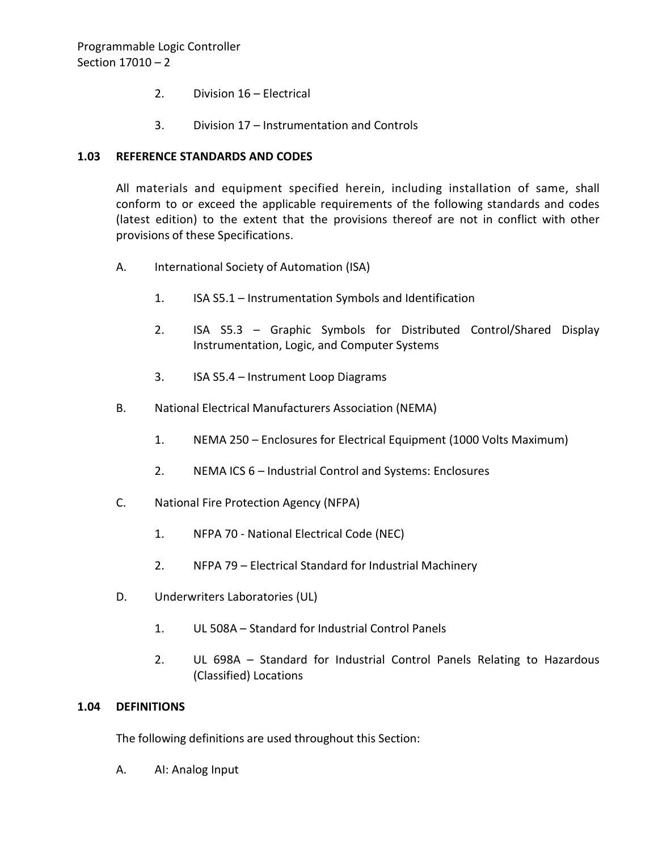- 2. Division 16 Electrical
- 3. Division 17 Instrumentation and Controls

### <span id="page-3-0"></span>**1.03 REFERENCE STANDARDS AND CODES**

All materials and equipment specified herein, including installation of same, shall conform to or exceed the applicable requirements of the following standards and codes (latest edition) to the extent that the provisions thereof are not in conflict with other provisions of these Specifications.

- A. International Society of Automation (ISA)
	- 1. ISA S5.1 Instrumentation Symbols and Identification
	- 2. ISA S5.3 Graphic Symbols for Distributed Control/Shared Display Instrumentation, Logic, and Computer Systems
	- 3. ISA S5.4 Instrument Loop Diagrams
- B. National Electrical Manufacturers Association (NEMA)
	- 1. NEMA 250 Enclosures for Electrical Equipment (1000 Volts Maximum)
	- 2. NEMA ICS 6 Industrial Control and Systems: Enclosures
- C. National Fire Protection Agency (NFPA)
	- 1. NFPA 70 National Electrical Code (NEC)
	- 2. NFPA 79 Electrical Standard for Industrial Machinery
- D. Underwriters Laboratories (UL)
	- 1. UL 508A Standard for Industrial Control Panels
	- 2. UL 698A Standard for Industrial Control Panels Relating to Hazardous (Classified) Locations

#### <span id="page-3-1"></span>**1.04 DEFINITIONS**

The following definitions are used throughout this Section:

A. AI: Analog Input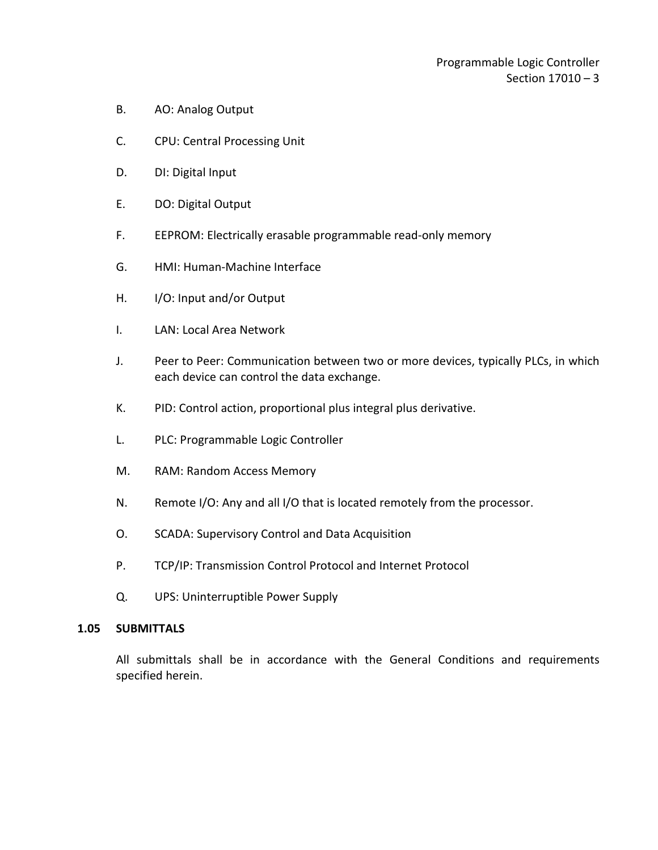- B. AO: Analog Output
- C. CPU: Central Processing Unit
- D. DI: Digital Input
- E. DO: Digital Output
- F. EEPROM: Electrically erasable programmable read-only memory
- G. HMI: Human-Machine Interface
- H. I/O: Input and/or Output
- I. LAN: Local Area Network
- J. Peer to Peer: Communication between two or more devices, typically PLCs, in which each device can control the data exchange.
- K. PID: Control action, proportional plus integral plus derivative.
- L. PLC: Programmable Logic Controller
- M. RAM: Random Access Memory
- N. Remote I/O: Any and all I/O that is located remotely from the processor.
- O. SCADA: Supervisory Control and Data Acquisition
- P. TCP/IP: Transmission Control Protocol and Internet Protocol
- Q. UPS: Uninterruptible Power Supply

#### <span id="page-4-0"></span>**1.05 SUBMITTALS**

All submittals shall be in accordance with the General Conditions and requirements specified herein.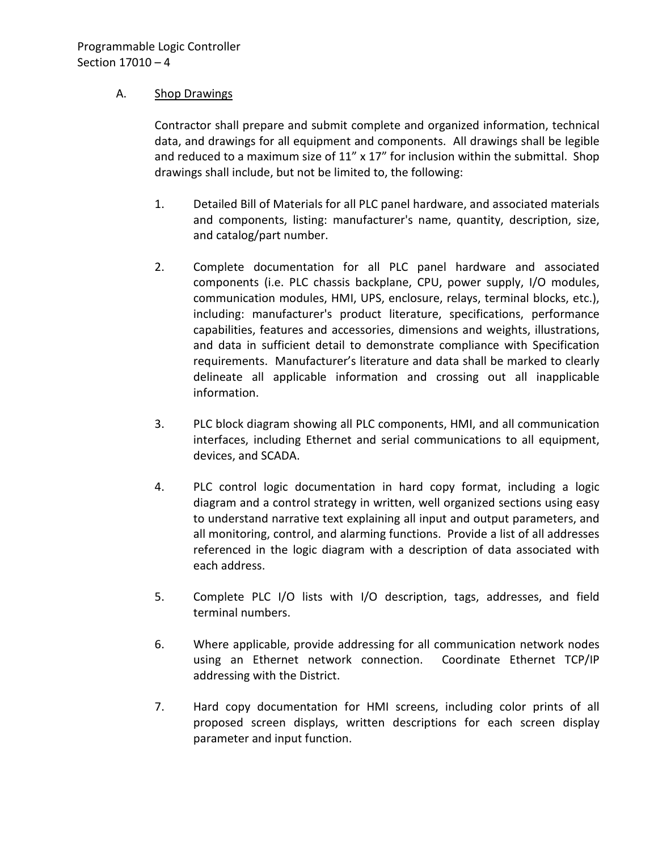## A. Shop Drawings

Contractor shall prepare and submit complete and organized information, technical data, and drawings for all equipment and components. All drawings shall be legible and reduced to a maximum size of 11" x 17" for inclusion within the submittal. Shop drawings shall include, but not be limited to, the following:

- 1. Detailed Bill of Materials for all PLC panel hardware, and associated materials and components, listing: manufacturer's name, quantity, description, size, and catalog/part number.
- 2. Complete documentation for all PLC panel hardware and associated components (i.e. PLC chassis backplane, CPU, power supply, I/O modules, communication modules, HMI, UPS, enclosure, relays, terminal blocks, etc.), including: manufacturer's product literature, specifications, performance capabilities, features and accessories, dimensions and weights, illustrations, and data in sufficient detail to demonstrate compliance with Specification requirements. Manufacturer's literature and data shall be marked to clearly delineate all applicable information and crossing out all inapplicable information.
- 3. PLC block diagram showing all PLC components, HMI, and all communication interfaces, including Ethernet and serial communications to all equipment, devices, and SCADA.
- 4. PLC control logic documentation in hard copy format, including a logic diagram and a control strategy in written, well organized sections using easy to understand narrative text explaining all input and output parameters, and all monitoring, control, and alarming functions. Provide a list of all addresses referenced in the logic diagram with a description of data associated with each address.
- 5. Complete PLC I/O lists with I/O description, tags, addresses, and field terminal numbers.
- 6. Where applicable, provide addressing for all communication network nodes using an Ethernet network connection. Coordinate Ethernet TCP/IP addressing with the District.
- 7. Hard copy documentation for HMI screens, including color prints of all proposed screen displays, written descriptions for each screen display parameter and input function.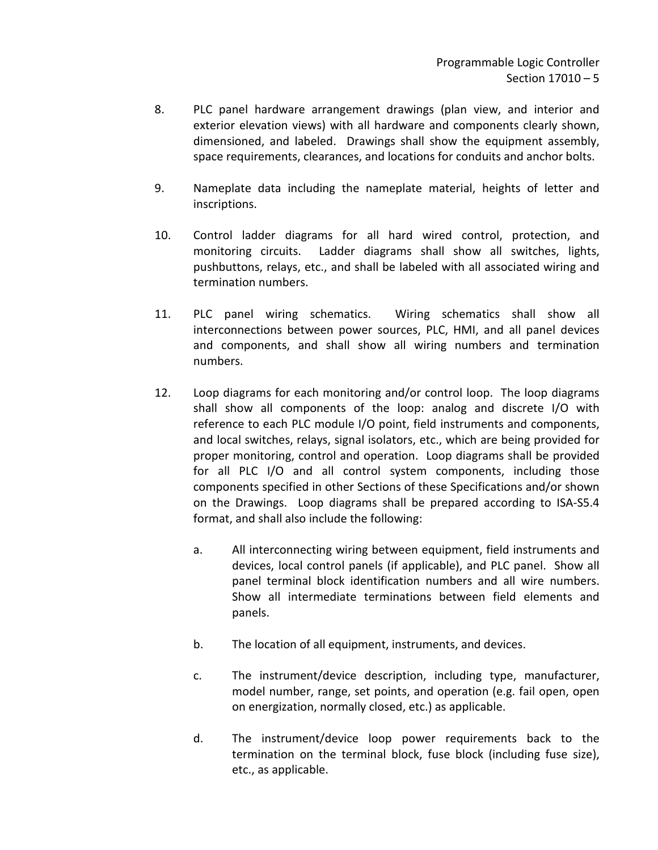- 8. PLC panel hardware arrangement drawings (plan view, and interior and exterior elevation views) with all hardware and components clearly shown, dimensioned, and labeled. Drawings shall show the equipment assembly, space requirements, clearances, and locations for conduits and anchor bolts.
- 9. Nameplate data including the nameplate material, heights of letter and inscriptions.
- 10. Control ladder diagrams for all hard wired control, protection, and monitoring circuits. Ladder diagrams shall show all switches, lights, pushbuttons, relays, etc., and shall be labeled with all associated wiring and termination numbers.
- 11. PLC panel wiring schematics. Wiring schematics shall show all interconnections between power sources, PLC, HMI, and all panel devices and components, and shall show all wiring numbers and termination numbers.
- 12. Loop diagrams for each monitoring and/or control loop. The loop diagrams shall show all components of the loop: analog and discrete I/O with reference to each PLC module I/O point, field instruments and components, and local switches, relays, signal isolators, etc., which are being provided for proper monitoring, control and operation. Loop diagrams shall be provided for all PLC I/O and all control system components, including those components specified in other Sections of these Specifications and/or shown on the Drawings. Loop diagrams shall be prepared according to ISA-S5.4 format, and shall also include the following:
	- a. All interconnecting wiring between equipment, field instruments and devices, local control panels (if applicable), and PLC panel. Show all panel terminal block identification numbers and all wire numbers. Show all intermediate terminations between field elements and panels.
	- b. The location of all equipment, instruments, and devices.
	- c. The instrument/device description, including type, manufacturer, model number, range, set points, and operation (e.g. fail open, open on energization, normally closed, etc.) as applicable.
	- d. The instrument/device loop power requirements back to the termination on the terminal block, fuse block (including fuse size), etc., as applicable.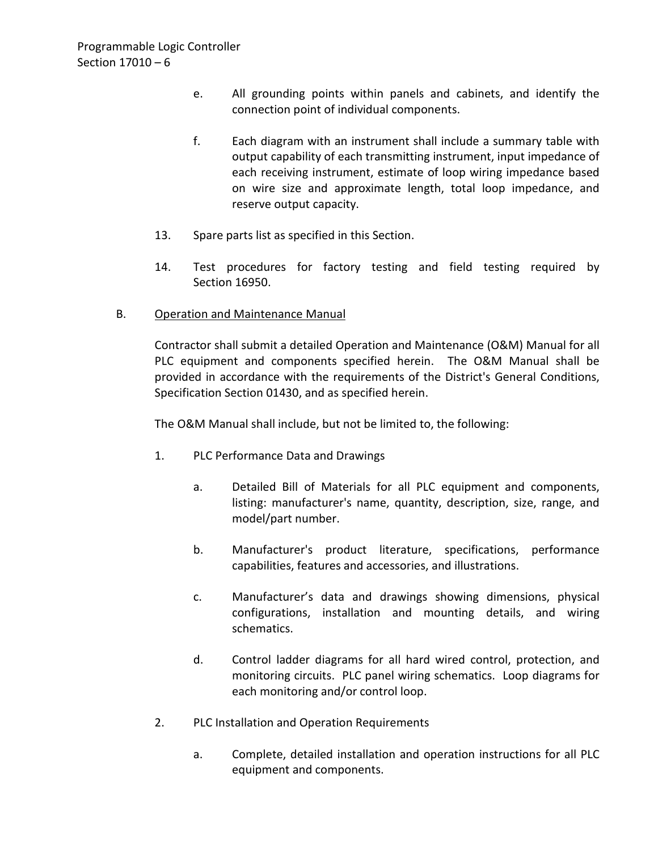- e. All grounding points within panels and cabinets, and identify the connection point of individual components.
- f. Each diagram with an instrument shall include a summary table with output capability of each transmitting instrument, input impedance of each receiving instrument, estimate of loop wiring impedance based on wire size and approximate length, total loop impedance, and reserve output capacity.
- 13. Spare parts list as specified in this Section.
- 14. Test procedures for factory testing and field testing required by Section 16950.
- B. Operation and Maintenance Manual

Contractor shall submit a detailed Operation and Maintenance (O&M) Manual for all PLC equipment and components specified herein. The O&M Manual shall be provided in accordance with the requirements of the District's General Conditions, Specification Section 01430, and as specified herein.

The O&M Manual shall include, but not be limited to, the following:

- 1. PLC Performance Data and Drawings
	- a. Detailed Bill of Materials for all PLC equipment and components, listing: manufacturer's name, quantity, description, size, range, and model/part number.
	- b. Manufacturer's product literature, specifications, performance capabilities, features and accessories, and illustrations.
	- c. Manufacturer's data and drawings showing dimensions, physical configurations, installation and mounting details, and wiring schematics.
	- d. Control ladder diagrams for all hard wired control, protection, and monitoring circuits. PLC panel wiring schematics. Loop diagrams for each monitoring and/or control loop.
- 2. PLC Installation and Operation Requirements
	- a. Complete, detailed installation and operation instructions for all PLC equipment and components.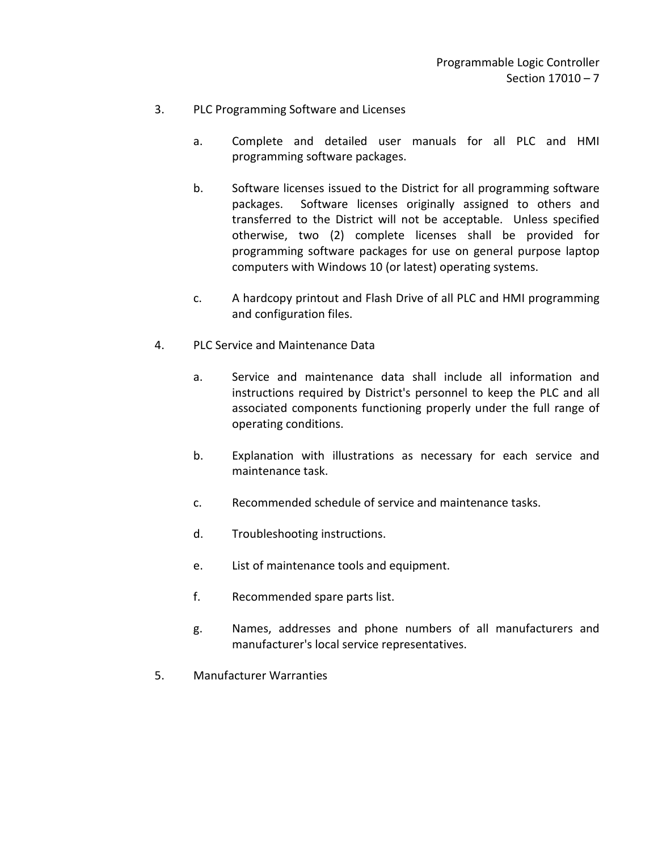- 3. PLC Programming Software and Licenses
	- a. Complete and detailed user manuals for all PLC and HMI programming software packages.
	- b. Software licenses issued to the District for all programming software packages. Software licenses originally assigned to others and transferred to the District will not be acceptable. Unless specified otherwise, two (2) complete licenses shall be provided for programming software packages for use on general purpose laptop computers with Windows 10 (or latest) operating systems.
	- c. A hardcopy printout and Flash Drive of all PLC and HMI programming and configuration files.
- 4. PLC Service and Maintenance Data
	- a. Service and maintenance data shall include all information and instructions required by District's personnel to keep the PLC and all associated components functioning properly under the full range of operating conditions.
	- b. Explanation with illustrations as necessary for each service and maintenance task.
	- c. Recommended schedule of service and maintenance tasks.
	- d. Troubleshooting instructions.
	- e. List of maintenance tools and equipment.
	- f. Recommended spare parts list.
	- g. Names, addresses and phone numbers of all manufacturers and manufacturer's local service representatives.
- 5. Manufacturer Warranties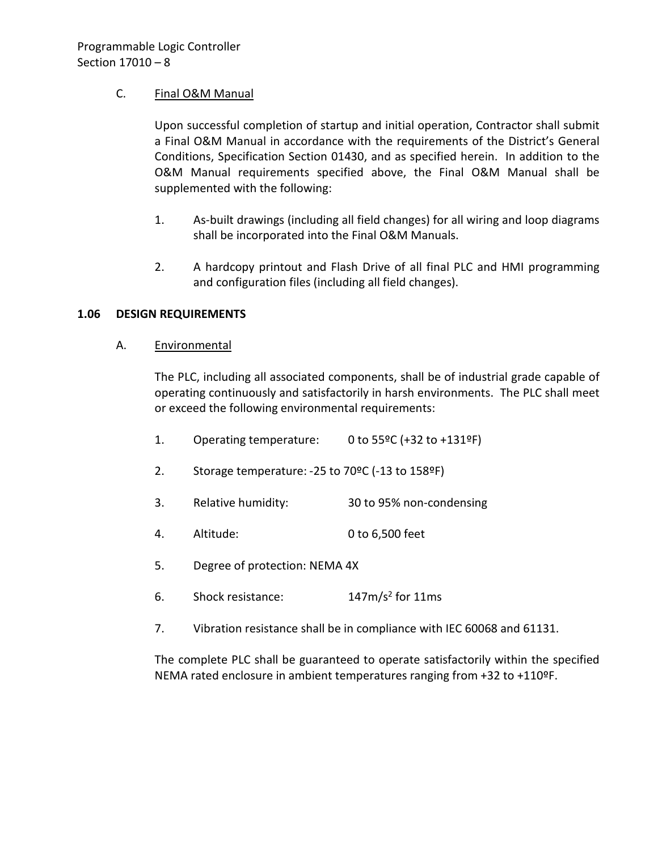## C. Final O&M Manual

Upon successful completion of startup and initial operation, Contractor shall submit a Final O&M Manual in accordance with the requirements of the District's General Conditions, Specification Section 01430, and as specified herein. In addition to the O&M Manual requirements specified above, the Final O&M Manual shall be supplemented with the following:

- 1. As-built drawings (including all field changes) for all wiring and loop diagrams shall be incorporated into the Final O&M Manuals.
- 2. A hardcopy printout and Flash Drive of all final PLC and HMI programming and configuration files (including all field changes).

#### <span id="page-9-0"></span>**1.06 DESIGN REQUIREMENTS**

A. Environmental

The PLC, including all associated components, shall be of industrial grade capable of operating continuously and satisfactorily in harsh environments. The PLC shall meet or exceed the following environmental requirements:

- 1. Operating temperature: 0 to 55ºC (+32 to +131ºF) 2. Storage temperature: -25 to 70ºC (-13 to 158ºF) 3. Relative humidity: 30 to 95% non-condensing 4. Altitude: 0 to 6,500 feet 5. Degree of protection: NEMA 4X
- 6. Shock resistance: 147m/s2 for 11ms
- 7. Vibration resistance shall be in compliance with IEC 60068 and 61131.

The complete PLC shall be guaranteed to operate satisfactorily within the specified NEMA rated enclosure in ambient temperatures ranging from +32 to +110ºF.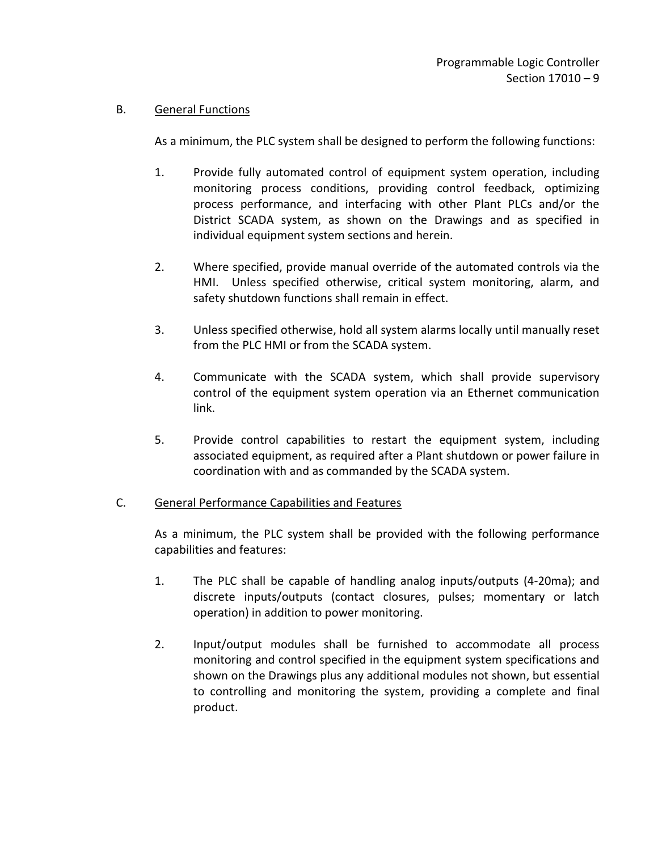## B. General Functions

As a minimum, the PLC system shall be designed to perform the following functions:

- 1. Provide fully automated control of equipment system operation, including monitoring process conditions, providing control feedback, optimizing process performance, and interfacing with other Plant PLCs and/or the District SCADA system, as shown on the Drawings and as specified in individual equipment system sections and herein.
- 2. Where specified, provide manual override of the automated controls via the HMI. Unless specified otherwise, critical system monitoring, alarm, and safety shutdown functions shall remain in effect.
- 3. Unless specified otherwise, hold all system alarms locally until manually reset from the PLC HMI or from the SCADA system.
- 4. Communicate with the SCADA system, which shall provide supervisory control of the equipment system operation via an Ethernet communication link.
- 5. Provide control capabilities to restart the equipment system, including associated equipment, as required after a Plant shutdown or power failure in coordination with and as commanded by the SCADA system.

#### C. General Performance Capabilities and Features

As a minimum, the PLC system shall be provided with the following performance capabilities and features:

- 1. The PLC shall be capable of handling analog inputs/outputs (4-20ma); and discrete inputs/outputs (contact closures, pulses; momentary or latch operation) in addition to power monitoring.
- 2. Input/output modules shall be furnished to accommodate all process monitoring and control specified in the equipment system specifications and shown on the Drawings plus any additional modules not shown, but essential to controlling and monitoring the system, providing a complete and final product.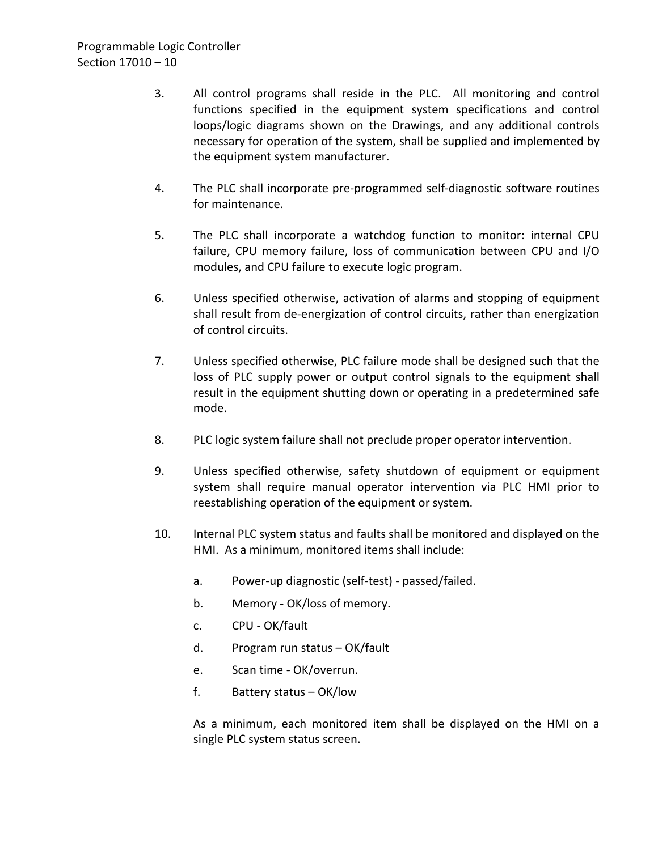- 3. All control programs shall reside in the PLC. All monitoring and control functions specified in the equipment system specifications and control loops/logic diagrams shown on the Drawings, and any additional controls necessary for operation of the system, shall be supplied and implemented by the equipment system manufacturer.
- 4. The PLC shall incorporate pre-programmed self-diagnostic software routines for maintenance.
- 5. The PLC shall incorporate a watchdog function to monitor: internal CPU failure, CPU memory failure, loss of communication between CPU and I/O modules, and CPU failure to execute logic program.
- 6. Unless specified otherwise, activation of alarms and stopping of equipment shall result from de-energization of control circuits, rather than energization of control circuits.
- 7. Unless specified otherwise, PLC failure mode shall be designed such that the loss of PLC supply power or output control signals to the equipment shall result in the equipment shutting down or operating in a predetermined safe mode.
- 8. PLC logic system failure shall not preclude proper operator intervention.
- 9. Unless specified otherwise, safety shutdown of equipment or equipment system shall require manual operator intervention via PLC HMI prior to reestablishing operation of the equipment or system.
- 10. Internal PLC system status and faults shall be monitored and displayed on the HMI. As a minimum, monitored items shall include:
	- a. Power-up diagnostic (self-test) passed/failed.
	- b. Memory OK/loss of memory.
	- c. CPU OK/fault
	- d. Program run status OK/fault
	- e. Scan time OK/overrun.
	- f. Battery status OK/low

As a minimum, each monitored item shall be displayed on the HMI on a single PLC system status screen.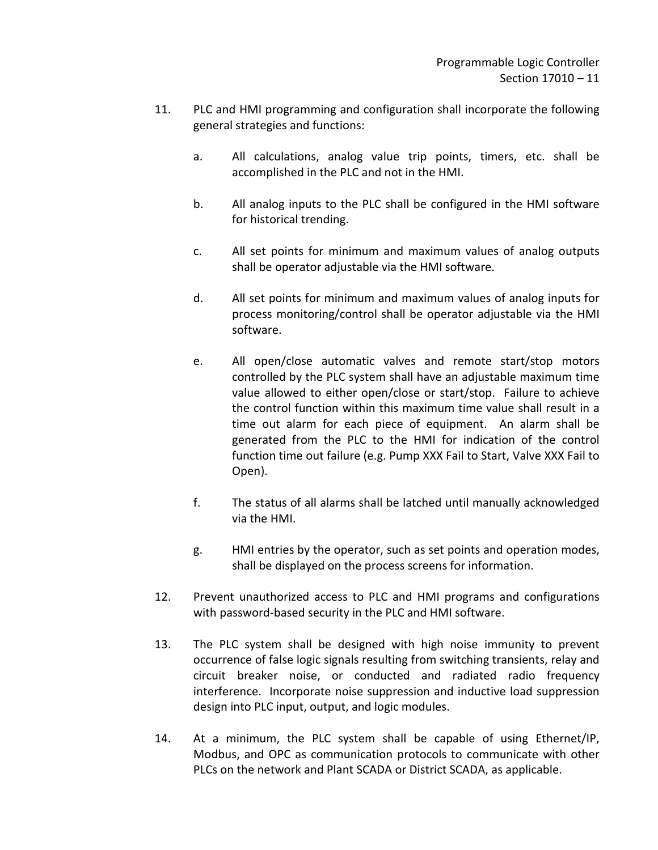- 11. PLC and HMI programming and configuration shall incorporate the following general strategies and functions:
	- a. All calculations, analog value trip points, timers, etc. shall be accomplished in the PLC and not in the HMI.
	- b. All analog inputs to the PLC shall be configured in the HMI software for historical trending.
	- c. All set points for minimum and maximum values of analog outputs shall be operator adjustable via the HMI software.
	- d. All set points for minimum and maximum values of analog inputs for process monitoring/control shall be operator adjustable via the HMI software.
	- e. All open/close automatic valves and remote start/stop motors controlled by the PLC system shall have an adjustable maximum time value allowed to either open/close or start/stop. Failure to achieve the control function within this maximum time value shall result in a time out alarm for each piece of equipment. An alarm shall be generated from the PLC to the HMI for indication of the control function time out failure (e.g. Pump XXX Fail to Start, Valve XXX Fail to Open).
	- f. The status of all alarms shall be latched until manually acknowledged via the HMI.
	- g. HMI entries by the operator, such as set points and operation modes, shall be displayed on the process screens for information.
- 12. Prevent unauthorized access to PLC and HMI programs and configurations with password-based security in the PLC and HMI software.
- 13. The PLC system shall be designed with high noise immunity to prevent occurrence of false logic signals resulting from switching transients, relay and circuit breaker noise, or conducted and radiated radio frequency interference. Incorporate noise suppression and inductive load suppression design into PLC input, output, and logic modules.
- 14. At a minimum, the PLC system shall be capable of using Ethernet/IP, Modbus, and OPC as communication protocols to communicate with other PLCs on the network and Plant SCADA or District SCADA, as applicable.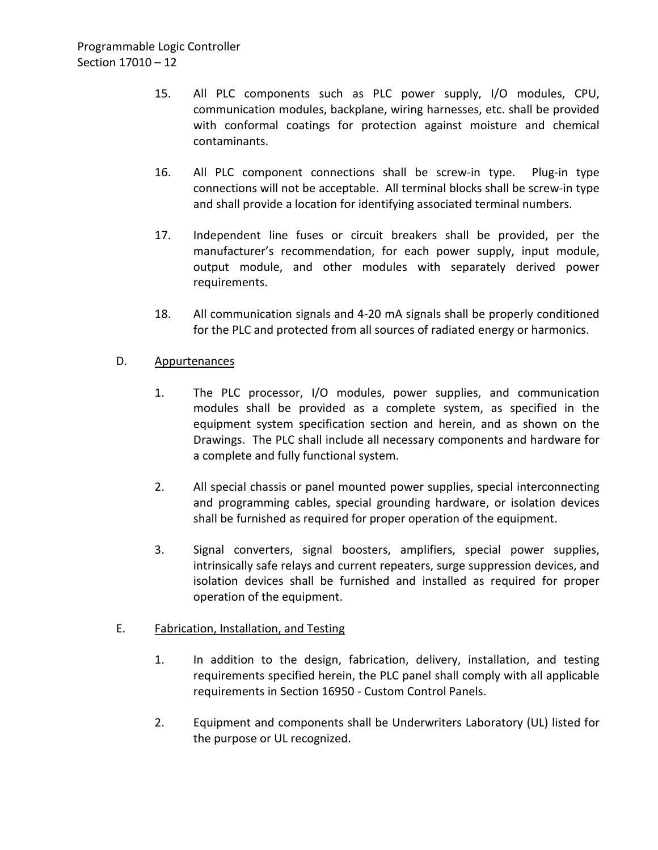- 15. All PLC components such as PLC power supply, I/O modules, CPU, communication modules, backplane, wiring harnesses, etc. shall be provided with conformal coatings for protection against moisture and chemical contaminants.
- 16. All PLC component connections shall be screw-in type. Plug-in type connections will not be acceptable. All terminal blocks shall be screw-in type and shall provide a location for identifying associated terminal numbers.
- 17. Independent line fuses or circuit breakers shall be provided, per the manufacturer's recommendation, for each power supply, input module, output module, and other modules with separately derived power requirements.
- 18. All communication signals and 4-20 mA signals shall be properly conditioned for the PLC and protected from all sources of radiated energy or harmonics.

## D. Appurtenances

- 1. The PLC processor, I/O modules, power supplies, and communication modules shall be provided as a complete system, as specified in the equipment system specification section and herein, and as shown on the Drawings. The PLC shall include all necessary components and hardware for a complete and fully functional system.
- 2. All special chassis or panel mounted power supplies, special interconnecting and programming cables, special grounding hardware, or isolation devices shall be furnished as required for proper operation of the equipment.
- 3. Signal converters, signal boosters, amplifiers, special power supplies, intrinsically safe relays and current repeaters, surge suppression devices, and isolation devices shall be furnished and installed as required for proper operation of the equipment.

## E. Fabrication, Installation, and Testing

- 1. In addition to the design, fabrication, delivery, installation, and testing requirements specified herein, the PLC panel shall comply with all applicable requirements in Section 16950 - Custom Control Panels.
- 2. Equipment and components shall be Underwriters Laboratory (UL) listed for the purpose or UL recognized.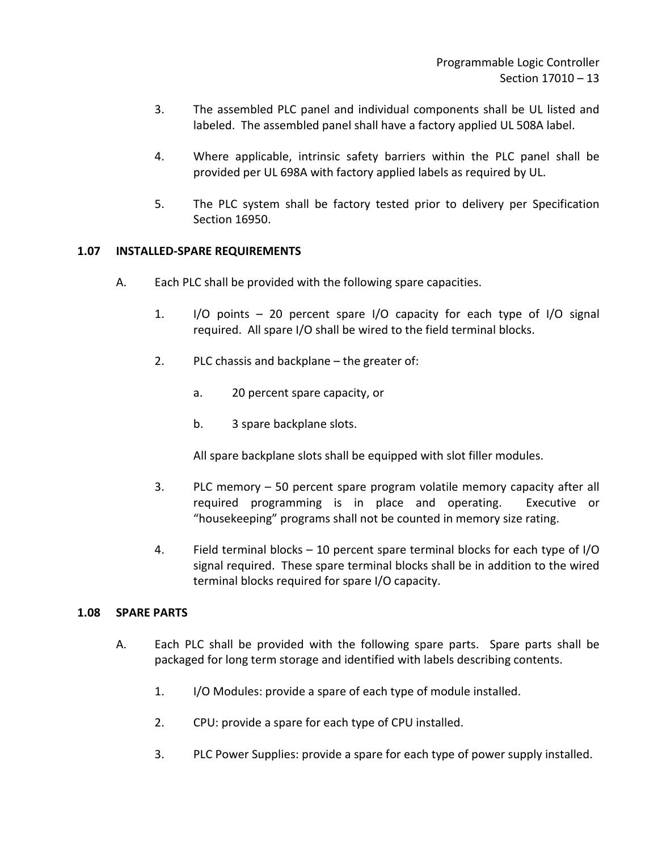- 3. The assembled PLC panel and individual components shall be UL listed and labeled. The assembled panel shall have a factory applied UL 508A label.
- 4. Where applicable, intrinsic safety barriers within the PLC panel shall be provided per UL 698A with factory applied labels as required by UL.
- 5. The PLC system shall be factory tested prior to delivery per Specification Section 16950.

#### <span id="page-14-0"></span>**1.07 INSTALLED-SPARE REQUIREMENTS**

- A. Each PLC shall be provided with the following spare capacities.
	- 1. I/O points 20 percent spare I/O capacity for each type of I/O signal required. All spare I/O shall be wired to the field terminal blocks.
	- 2. PLC chassis and backplane the greater of:
		- a. 20 percent spare capacity, or
		- b. 3 spare backplane slots.

All spare backplane slots shall be equipped with slot filler modules.

- 3. PLC memory 50 percent spare program volatile memory capacity after all required programming is in place and operating. Executive or "housekeeping" programs shall not be counted in memory size rating.
- 4. Field terminal blocks 10 percent spare terminal blocks for each type of I/O signal required. These spare terminal blocks shall be in addition to the wired terminal blocks required for spare I/O capacity.

#### <span id="page-14-1"></span>**1.08 SPARE PARTS**

- A. Each PLC shall be provided with the following spare parts. Spare parts shall be packaged for long term storage and identified with labels describing contents.
	- 1. I/O Modules: provide a spare of each type of module installed.
	- 2. CPU: provide a spare for each type of CPU installed.
	- 3. PLC Power Supplies: provide a spare for each type of power supply installed.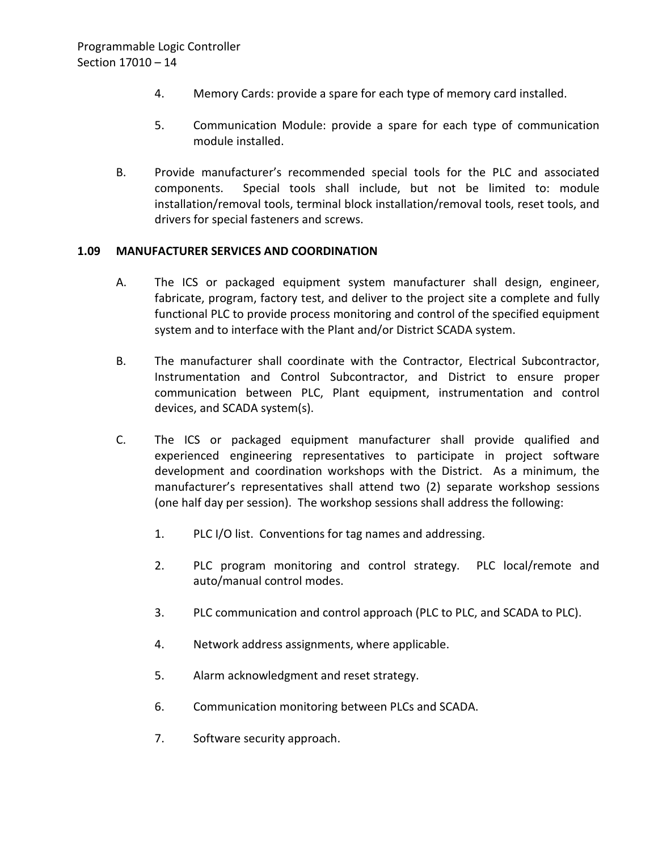- 4. Memory Cards: provide a spare for each type of memory card installed.
- 5. Communication Module: provide a spare for each type of communication module installed.
- B. Provide manufacturer's recommended special tools for the PLC and associated components. Special tools shall include, but not be limited to: module installation/removal tools, terminal block installation/removal tools, reset tools, and drivers for special fasteners and screws.

#### <span id="page-15-0"></span>**1.09 MANUFACTURER SERVICES AND COORDINATION**

- A. The ICS or packaged equipment system manufacturer shall design, engineer, fabricate, program, factory test, and deliver to the project site a complete and fully functional PLC to provide process monitoring and control of the specified equipment system and to interface with the Plant and/or District SCADA system.
- B. The manufacturer shall coordinate with the Contractor, Electrical Subcontractor, Instrumentation and Control Subcontractor, and District to ensure proper communication between PLC, Plant equipment, instrumentation and control devices, and SCADA system(s).
- C. The ICS or packaged equipment manufacturer shall provide qualified and experienced engineering representatives to participate in project software development and coordination workshops with the District. As a minimum, the manufacturer's representatives shall attend two (2) separate workshop sessions (one half day per session). The workshop sessions shall address the following:
	- 1. PLC I/O list. Conventions for tag names and addressing.
	- 2. PLC program monitoring and control strategy. PLC local/remote and auto/manual control modes.
	- 3. PLC communication and control approach (PLC to PLC, and SCADA to PLC).
	- 4. Network address assignments, where applicable.
	- 5. Alarm acknowledgment and reset strategy.
	- 6. Communication monitoring between PLCs and SCADA.
	- 7. Software security approach.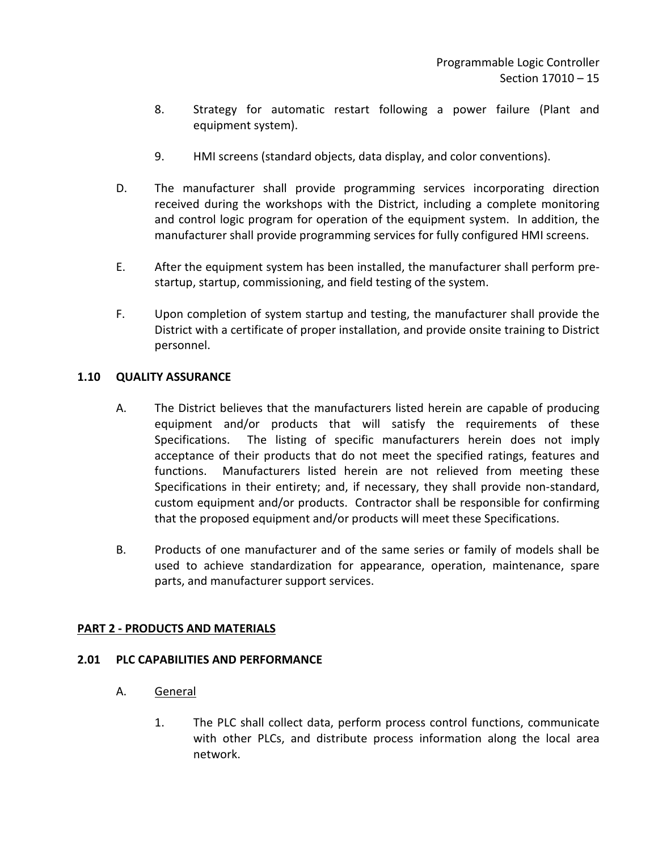- 8. Strategy for automatic restart following a power failure (Plant and equipment system).
- 9. HMI screens (standard objects, data display, and color conventions).
- D. The manufacturer shall provide programming services incorporating direction received during the workshops with the District, including a complete monitoring and control logic program for operation of the equipment system. In addition, the manufacturer shall provide programming services for fully configured HMI screens.
- E. After the equipment system has been installed, the manufacturer shall perform prestartup, startup, commissioning, and field testing of the system.
- F. Upon completion of system startup and testing, the manufacturer shall provide the District with a certificate of proper installation, and provide onsite training to District personnel.

## <span id="page-16-0"></span>**1.10 QUALITY ASSURANCE**

- A. The District believes that the manufacturers listed herein are capable of producing equipment and/or products that will satisfy the requirements of these Specifications. The listing of specific manufacturers herein does not imply acceptance of their products that do not meet the specified ratings, features and functions. Manufacturers listed herein are not relieved from meeting these Specifications in their entirety; and, if necessary, they shall provide non-standard, custom equipment and/or products. Contractor shall be responsible for confirming that the proposed equipment and/or products will meet these Specifications.
- B. Products of one manufacturer and of the same series or family of models shall be used to achieve standardization for appearance, operation, maintenance, spare parts, and manufacturer support services.

## <span id="page-16-1"></span>**PART 2 - PRODUCTS AND MATERIALS**

#### <span id="page-16-2"></span>**2.01 PLC CAPABILITIES AND PERFORMANCE**

- A. General
	- 1. The PLC shall collect data, perform process control functions, communicate with other PLCs, and distribute process information along the local area network.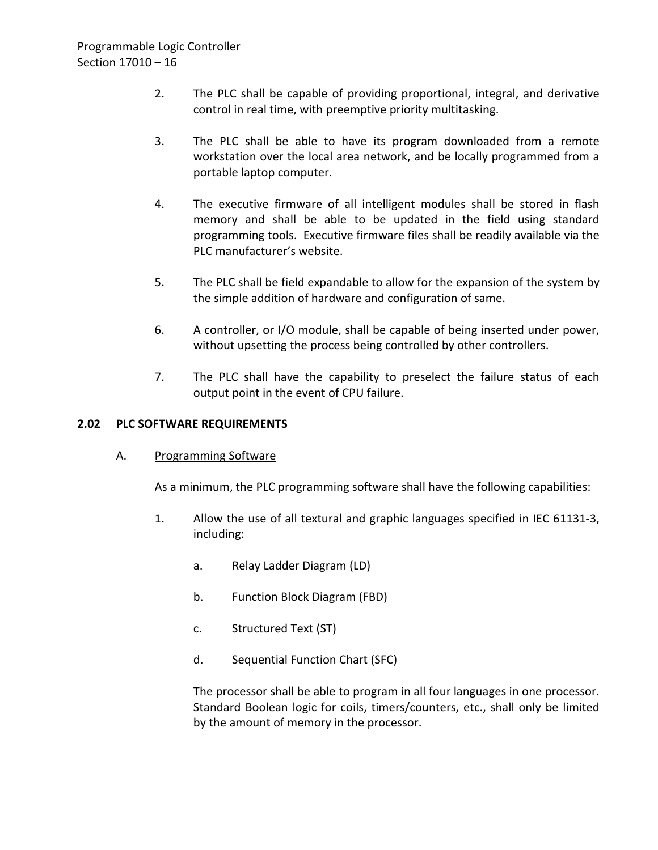- 2. The PLC shall be capable of providing proportional, integral, and derivative control in real time, with preemptive priority multitasking.
- 3. The PLC shall be able to have its program downloaded from a remote workstation over the local area network, and be locally programmed from a portable laptop computer.
- 4. The executive firmware of all intelligent modules shall be stored in flash memory and shall be able to be updated in the field using standard programming tools. Executive firmware files shall be readily available via the PLC manufacturer's website.
- 5. The PLC shall be field expandable to allow for the expansion of the system by the simple addition of hardware and configuration of same.
- 6. A controller, or I/O module, shall be capable of being inserted under power, without upsetting the process being controlled by other controllers.
- 7. The PLC shall have the capability to preselect the failure status of each output point in the event of CPU failure.

## <span id="page-17-0"></span>**2.02 PLC SOFTWARE REQUIREMENTS**

#### A. Programming Software

As a minimum, the PLC programming software shall have the following capabilities:

- 1. Allow the use of all textural and graphic languages specified in IEC 61131-3, including:
	- a. Relay Ladder Diagram (LD)
	- b. Function Block Diagram (FBD)
	- c. Structured Text (ST)
	- d. Sequential Function Chart (SFC)

The processor shall be able to program in all four languages in one processor. Standard Boolean logic for coils, timers/counters, etc., shall only be limited by the amount of memory in the processor.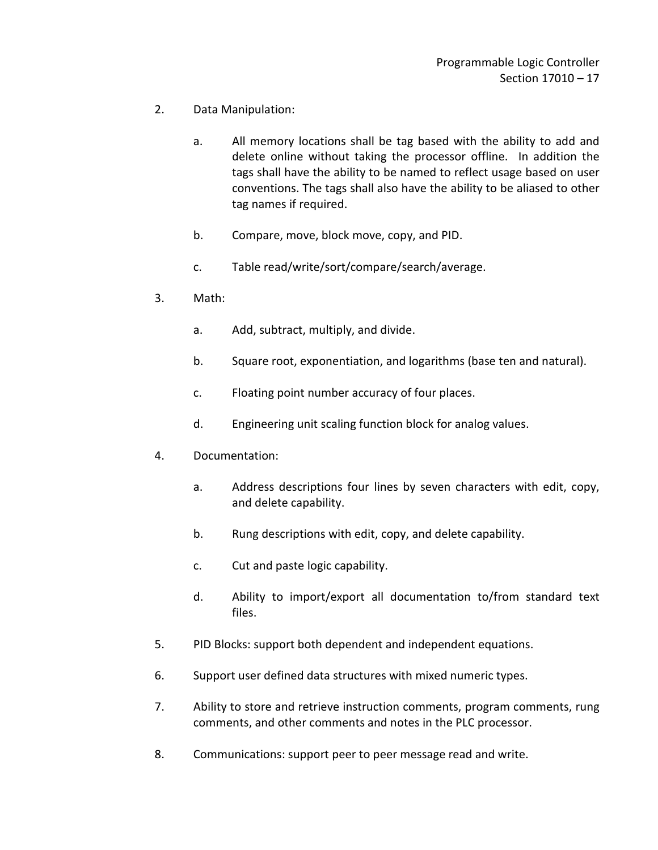- 2. Data Manipulation:
	- a. All memory locations shall be tag based with the ability to add and delete online without taking the processor offline. In addition the tags shall have the ability to be named to reflect usage based on user conventions. The tags shall also have the ability to be aliased to other tag names if required.
	- b. Compare, move, block move, copy, and PID.
	- c. Table read/write/sort/compare/search/average.
- 3. Math:
	- a. Add, subtract, multiply, and divide.
	- b. Square root, exponentiation, and logarithms (base ten and natural).
	- c. Floating point number accuracy of four places.
	- d. Engineering unit scaling function block for analog values.
- 4. Documentation:
	- a. Address descriptions four lines by seven characters with edit, copy, and delete capability.
	- b. Rung descriptions with edit, copy, and delete capability.
	- c. Cut and paste logic capability.
	- d. Ability to import/export all documentation to/from standard text files.
- 5. PID Blocks: support both dependent and independent equations.
- 6. Support user defined data structures with mixed numeric types.
- 7. Ability to store and retrieve instruction comments, program comments, rung comments, and other comments and notes in the PLC processor.
- 8. Communications: support peer to peer message read and write.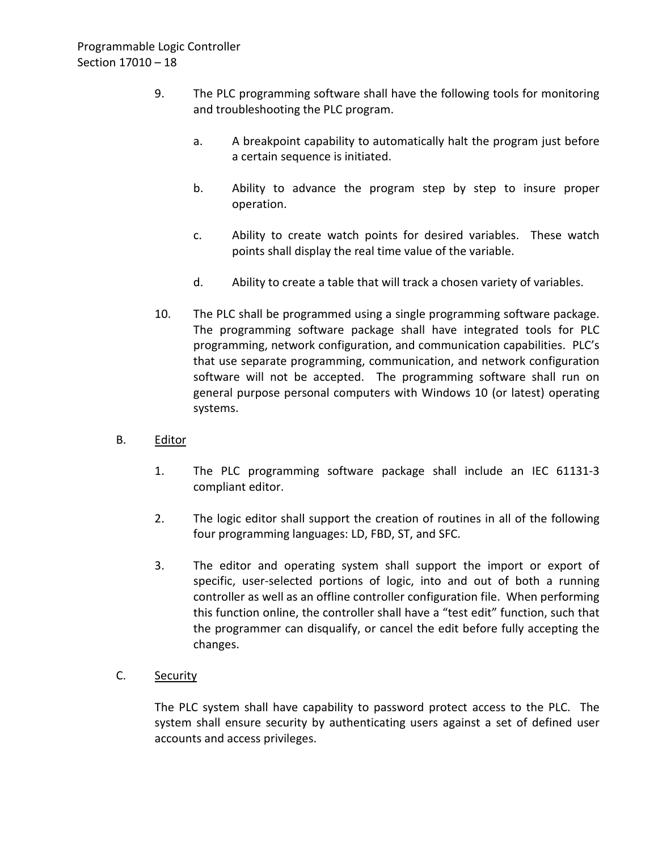- 9. The PLC programming software shall have the following tools for monitoring and troubleshooting the PLC program.
	- a. A breakpoint capability to automatically halt the program just before a certain sequence is initiated.
	- b. Ability to advance the program step by step to insure proper operation.
	- c. Ability to create watch points for desired variables. These watch points shall display the real time value of the variable.
	- d. Ability to create a table that will track a chosen variety of variables.
- 10. The PLC shall be programmed using a single programming software package. The programming software package shall have integrated tools for PLC programming, network configuration, and communication capabilities. PLC's that use separate programming, communication, and network configuration software will not be accepted. The programming software shall run on general purpose personal computers with Windows 10 (or latest) operating systems.
- B. Editor
	- 1. The PLC programming software package shall include an IEC 61131-3 compliant editor.
	- 2. The logic editor shall support the creation of routines in all of the following four programming languages: LD, FBD, ST, and SFC.
	- 3. The editor and operating system shall support the import or export of specific, user-selected portions of logic, into and out of both a running controller as well as an offline controller configuration file. When performing this function online, the controller shall have a "test edit" function, such that the programmer can disqualify, or cancel the edit before fully accepting the changes.
- C. Security

The PLC system shall have capability to password protect access to the PLC. The system shall ensure security by authenticating users against a set of defined user accounts and access privileges.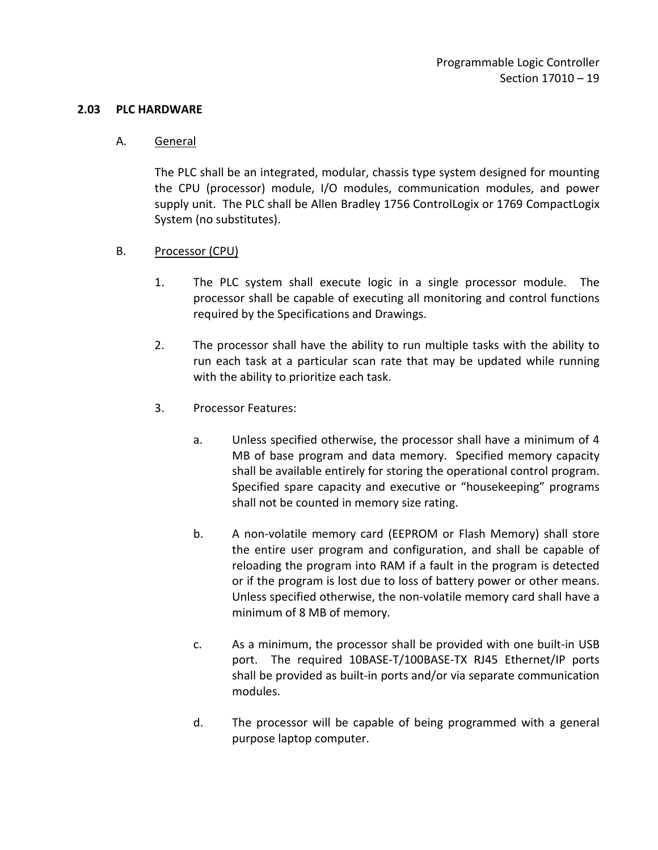#### <span id="page-20-0"></span>**2.03 PLC HARDWARE**

#### A. General

The PLC shall be an integrated, modular, chassis type system designed for mounting the CPU (processor) module, I/O modules, communication modules, and power supply unit. The PLC shall be Allen Bradley 1756 ControlLogix or 1769 CompactLogix System (no substitutes).

#### B. Processor (CPU)

- 1. The PLC system shall execute logic in a single processor module. The processor shall be capable of executing all monitoring and control functions required by the Specifications and Drawings.
- 2. The processor shall have the ability to run multiple tasks with the ability to run each task at a particular scan rate that may be updated while running with the ability to prioritize each task.
- 3. Processor Features:
	- a. Unless specified otherwise, the processor shall have a minimum of 4 MB of base program and data memory. Specified memory capacity shall be available entirely for storing the operational control program. Specified spare capacity and executive or "housekeeping" programs shall not be counted in memory size rating.
	- b. A non-volatile memory card (EEPROM or Flash Memory) shall store the entire user program and configuration, and shall be capable of reloading the program into RAM if a fault in the program is detected or if the program is lost due to loss of battery power or other means. Unless specified otherwise, the non-volatile memory card shall have a minimum of 8 MB of memory.
	- c. As a minimum, the processor shall be provided with one built-in USB port. The required 10BASE-T/100BASE-TX RJ45 Ethernet/IP ports shall be provided as built-in ports and/or via separate communication modules.
	- d. The processor will be capable of being programmed with a general purpose laptop computer.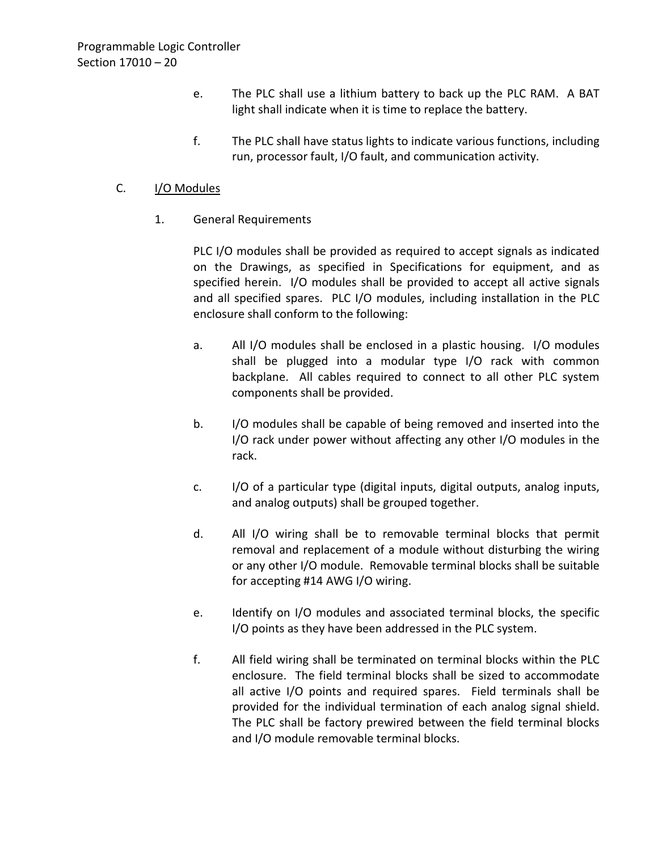- e. The PLC shall use a lithium battery to back up the PLC RAM. A BAT light shall indicate when it is time to replace the battery.
- f. The PLC shall have status lights to indicate various functions, including run, processor fault, I/O fault, and communication activity.

## C. **I/O Modules**

1. General Requirements

PLC I/O modules shall be provided as required to accept signals as indicated on the Drawings, as specified in Specifications for equipment, and as specified herein. I/O modules shall be provided to accept all active signals and all specified spares. PLC I/O modules, including installation in the PLC enclosure shall conform to the following:

- a. All I/O modules shall be enclosed in a plastic housing. I/O modules shall be plugged into a modular type I/O rack with common backplane. All cables required to connect to all other PLC system components shall be provided.
- b. I/O modules shall be capable of being removed and inserted into the I/O rack under power without affecting any other I/O modules in the rack.
- c. I/O of a particular type (digital inputs, digital outputs, analog inputs, and analog outputs) shall be grouped together.
- d. All I/O wiring shall be to removable terminal blocks that permit removal and replacement of a module without disturbing the wiring or any other I/O module. Removable terminal blocks shall be suitable for accepting #14 AWG I/O wiring.
- e. Identify on I/O modules and associated terminal blocks, the specific I/O points as they have been addressed in the PLC system.
- f. All field wiring shall be terminated on terminal blocks within the PLC enclosure. The field terminal blocks shall be sized to accommodate all active I/O points and required spares. Field terminals shall be provided for the individual termination of each analog signal shield. The PLC shall be factory prewired between the field terminal blocks and I/O module removable terminal blocks.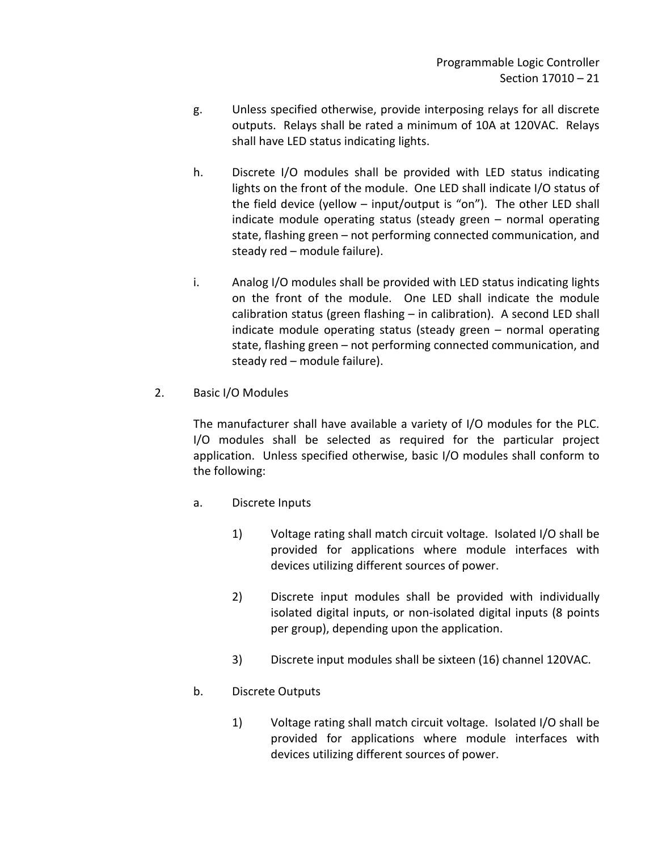- g. Unless specified otherwise, provide interposing relays for all discrete outputs. Relays shall be rated a minimum of 10A at 120VAC. Relays shall have LED status indicating lights.
- h. Discrete I/O modules shall be provided with LED status indicating lights on the front of the module. One LED shall indicate I/O status of the field device (yellow – input/output is "on"). The other LED shall indicate module operating status (steady green – normal operating state, flashing green – not performing connected communication, and steady red – module failure).
- i. Analog I/O modules shall be provided with LED status indicating lights on the front of the module. One LED shall indicate the module calibration status (green flashing – in calibration). A second LED shall indicate module operating status (steady green – normal operating state, flashing green – not performing connected communication, and steady red – module failure).
- 2. Basic I/O Modules

The manufacturer shall have available a variety of I/O modules for the PLC. I/O modules shall be selected as required for the particular project application. Unless specified otherwise, basic I/O modules shall conform to the following:

- a. Discrete Inputs
	- 1) Voltage rating shall match circuit voltage. Isolated I/O shall be provided for applications where module interfaces with devices utilizing different sources of power.
	- 2) Discrete input modules shall be provided with individually isolated digital inputs, or non-isolated digital inputs (8 points per group), depending upon the application.
	- 3) Discrete input modules shall be sixteen (16) channel 120VAC.

## b. Discrete Outputs

1) Voltage rating shall match circuit voltage. Isolated I/O shall be provided for applications where module interfaces with devices utilizing different sources of power.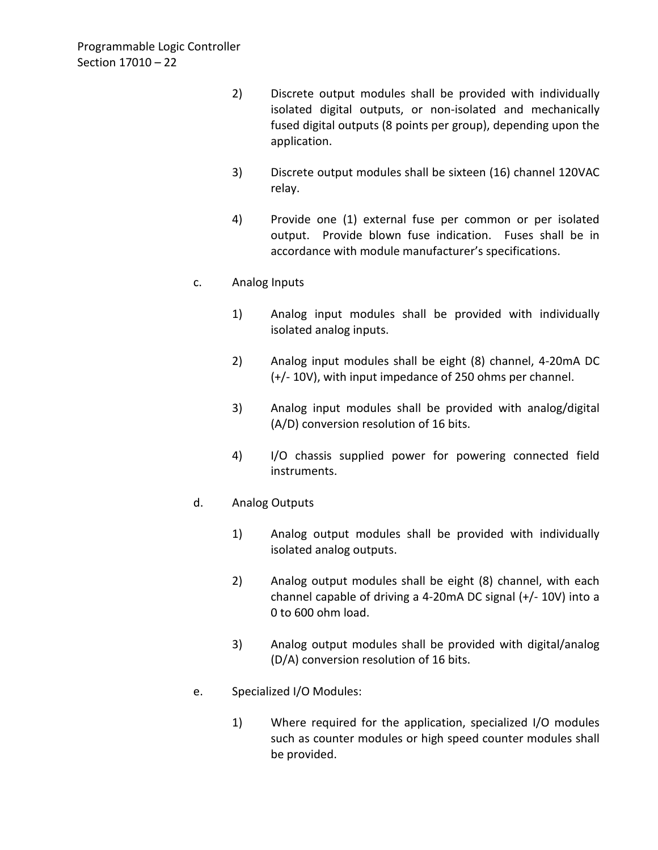- 2) Discrete output modules shall be provided with individually isolated digital outputs, or non-isolated and mechanically fused digital outputs (8 points per group), depending upon the application.
- 3) Discrete output modules shall be sixteen (16) channel 120VAC relay.
- 4) Provide one (1) external fuse per common or per isolated output. Provide blown fuse indication. Fuses shall be in accordance with module manufacturer's specifications.

## c. Analog Inputs

- 1) Analog input modules shall be provided with individually isolated analog inputs.
- 2) Analog input modules shall be eight (8) channel, 4-20mA DC (+/- 10V), with input impedance of 250 ohms per channel.
- 3) Analog input modules shall be provided with analog/digital (A/D) conversion resolution of 16 bits.
- 4) I/O chassis supplied power for powering connected field instruments.

## d. Analog Outputs

- 1) Analog output modules shall be provided with individually isolated analog outputs.
- 2) Analog output modules shall be eight (8) channel, with each channel capable of driving a 4-20mA DC signal (+/- 10V) into a 0 to 600 ohm load.
- 3) Analog output modules shall be provided with digital/analog (D/A) conversion resolution of 16 bits.
- e. Specialized I/O Modules:
	- 1) Where required for the application, specialized I/O modules such as counter modules or high speed counter modules shall be provided.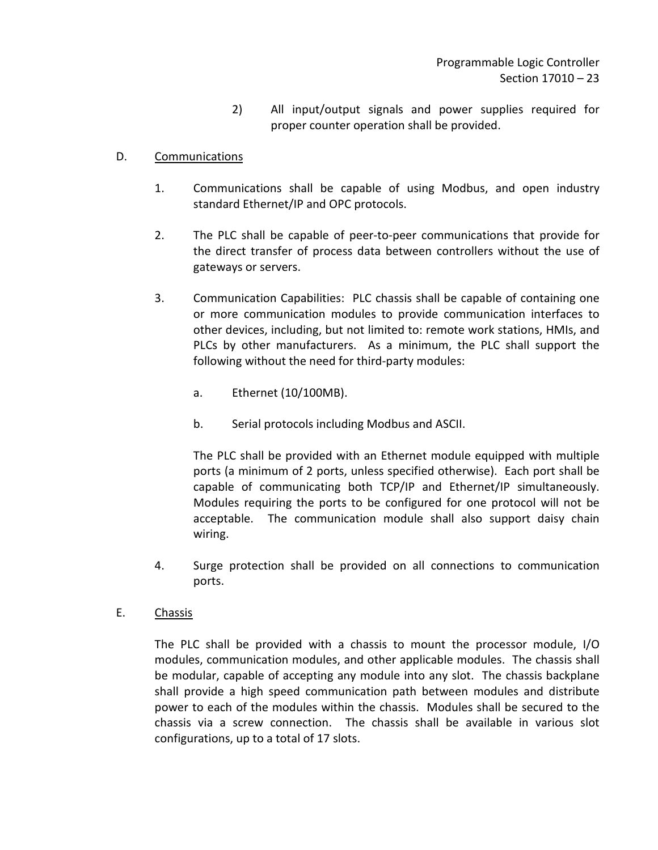2) All input/output signals and power supplies required for proper counter operation shall be provided.

## D. Communications

- 1. Communications shall be capable of using Modbus, and open industry standard Ethernet/IP and OPC protocols.
- 2. The PLC shall be capable of peer-to-peer communications that provide for the direct transfer of process data between controllers without the use of gateways or servers.
- 3. Communication Capabilities: PLC chassis shall be capable of containing one or more communication modules to provide communication interfaces to other devices, including, but not limited to: remote work stations, HMIs, and PLCs by other manufacturers. As a minimum, the PLC shall support the following without the need for third-party modules:
	- a. Ethernet (10/100MB).
	- b. Serial protocols including Modbus and ASCII.

The PLC shall be provided with an Ethernet module equipped with multiple ports (a minimum of 2 ports, unless specified otherwise). Each port shall be capable of communicating both TCP/IP and Ethernet/IP simultaneously. Modules requiring the ports to be configured for one protocol will not be acceptable. The communication module shall also support daisy chain wiring.

- 4. Surge protection shall be provided on all connections to communication ports.
- E. Chassis

The PLC shall be provided with a chassis to mount the processor module, I/O modules, communication modules, and other applicable modules. The chassis shall be modular, capable of accepting any module into any slot. The chassis backplane shall provide a high speed communication path between modules and distribute power to each of the modules within the chassis. Modules shall be secured to the chassis via a screw connection. The chassis shall be available in various slot configurations, up to a total of 17 slots.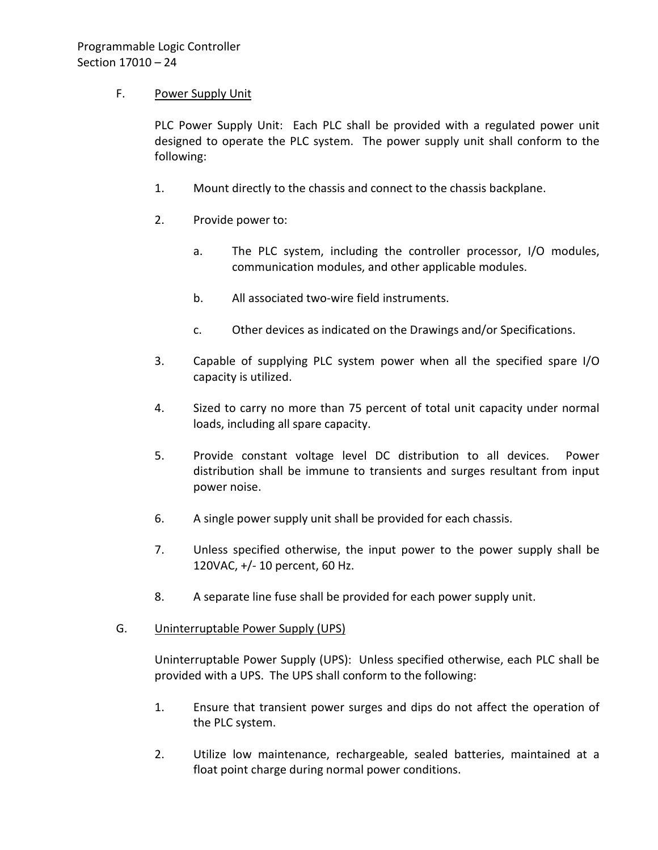## F. Power Supply Unit

PLC Power Supply Unit: Each PLC shall be provided with a regulated power unit designed to operate the PLC system. The power supply unit shall conform to the following:

- 1. Mount directly to the chassis and connect to the chassis backplane.
- 2. Provide power to:
	- a. The PLC system, including the controller processor, I/O modules, communication modules, and other applicable modules.
	- b. All associated two-wire field instruments.
	- c. Other devices as indicated on the Drawings and/or Specifications.
- 3. Capable of supplying PLC system power when all the specified spare I/O capacity is utilized.
- 4. Sized to carry no more than 75 percent of total unit capacity under normal loads, including all spare capacity.
- 5. Provide constant voltage level DC distribution to all devices. Power distribution shall be immune to transients and surges resultant from input power noise.
- 6. A single power supply unit shall be provided for each chassis.
- 7. Unless specified otherwise, the input power to the power supply shall be 120VAC, +/- 10 percent, 60 Hz.
- 8. A separate line fuse shall be provided for each power supply unit.

#### G. Uninterruptable Power Supply (UPS)

Uninterruptable Power Supply (UPS): Unless specified otherwise, each PLC shall be provided with a UPS. The UPS shall conform to the following:

- 1. Ensure that transient power surges and dips do not affect the operation of the PLC system.
- 2. Utilize low maintenance, rechargeable, sealed batteries, maintained at a float point charge during normal power conditions.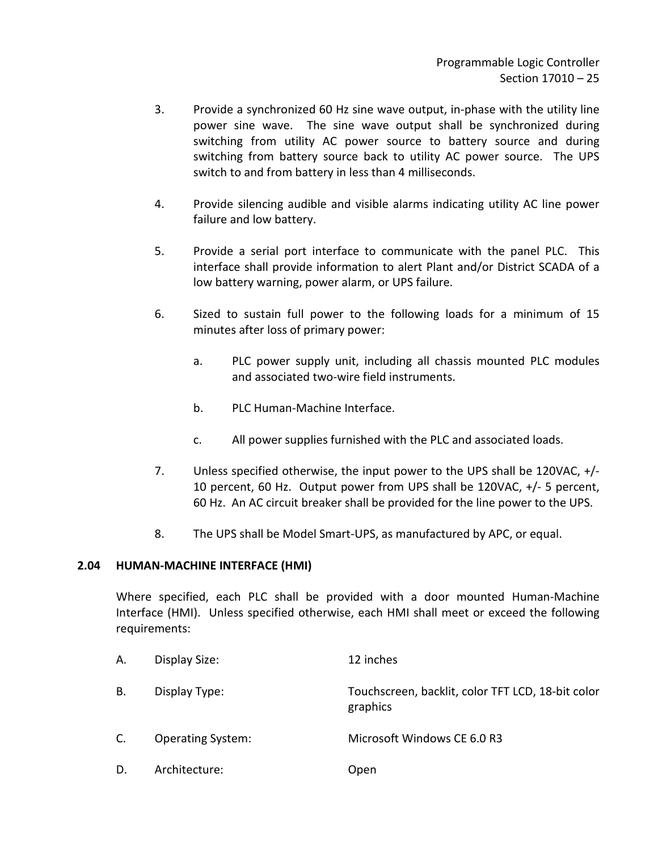- 3. Provide a synchronized 60 Hz sine wave output, in-phase with the utility line power sine wave. The sine wave output shall be synchronized during switching from utility AC power source to battery source and during switching from battery source back to utility AC power source. The UPS switch to and from battery in less than 4 milliseconds.
- 4. Provide silencing audible and visible alarms indicating utility AC line power failure and low battery.
- 5. Provide a serial port interface to communicate with the panel PLC. This interface shall provide information to alert Plant and/or District SCADA of a low battery warning, power alarm, or UPS failure.
- 6. Sized to sustain full power to the following loads for a minimum of 15 minutes after loss of primary power:
	- a. PLC power supply unit, including all chassis mounted PLC modules and associated two-wire field instruments.
	- b. PLC Human-Machine Interface.
	- c. All power supplies furnished with the PLC and associated loads.
- 7. Unless specified otherwise, the input power to the UPS shall be 120VAC, +/- 10 percent, 60 Hz. Output power from UPS shall be 120VAC, +/- 5 percent, 60 Hz. An AC circuit breaker shall be provided for the line power to the UPS.
- 8. The UPS shall be Model Smart-UPS, as manufactured by APC, or equal.

#### <span id="page-26-0"></span>**2.04 HUMAN-MACHINE INTERFACE (HMI)**

Where specified, each PLC shall be provided with a door mounted Human-Machine Interface (HMI). Unless specified otherwise, each HMI shall meet or exceed the following requirements:

| А. | Display Size:            | 12 inches                                                     |
|----|--------------------------|---------------------------------------------------------------|
| В. | Display Type:            | Touchscreen, backlit, color TFT LCD, 18-bit color<br>graphics |
| C. | <b>Operating System:</b> | Microsoft Windows CE 6.0 R3                                   |
| D. | Architecture:            | Open                                                          |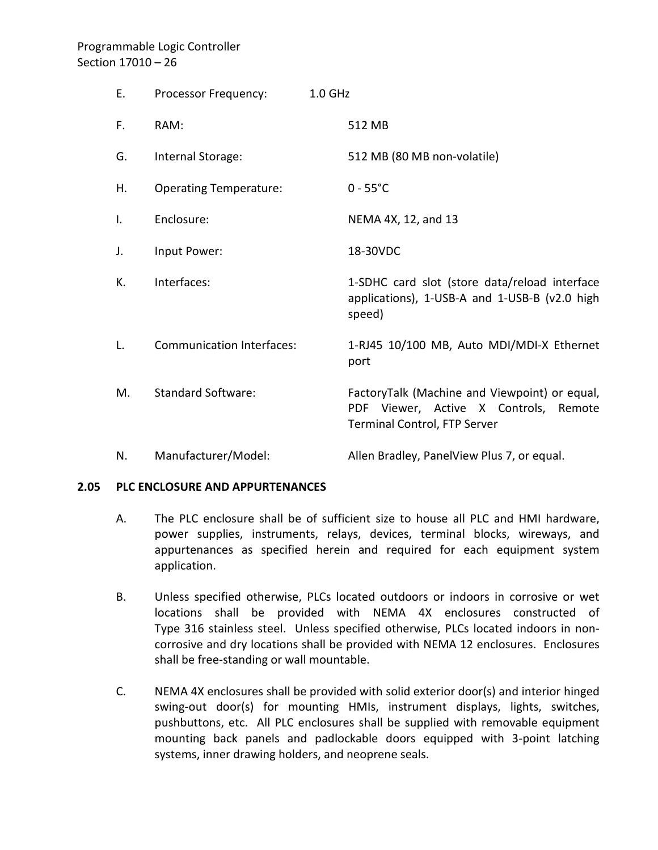# Programmable Logic Controller Section 17010 – 26

| Е. | Processor Frequency:             | $1.0$ GHz |                                                                                                                               |
|----|----------------------------------|-----------|-------------------------------------------------------------------------------------------------------------------------------|
| F. | RAM:                             |           | 512 MB                                                                                                                        |
| G. | Internal Storage:                |           | 512 MB (80 MB non-volatile)                                                                                                   |
| Η. | <b>Operating Temperature:</b>    |           | $0 - 55^{\circ}C$                                                                                                             |
| I. | Enclosure:                       |           | NEMA 4X, 12, and 13                                                                                                           |
| J. | Input Power:                     |           | 18-30VDC                                                                                                                      |
| К. | Interfaces:                      |           | 1-SDHC card slot (store data/reload interface<br>applications), 1-USB-A and 1-USB-B (v2.0 high<br>speed)                      |
| L. | <b>Communication Interfaces:</b> |           | 1-RJ45 10/100 MB, Auto MDI/MDI-X Ethernet<br>port                                                                             |
| Μ. | <b>Standard Software:</b>        |           | FactoryTalk (Machine and Viewpoint) or equal,<br>Viewer, Active X Controls,<br>PDF.<br>Remote<br>Terminal Control, FTP Server |
| N. | Manufacturer/Model:              |           | Allen Bradley, PanelView Plus 7, or equal.                                                                                    |

#### <span id="page-27-0"></span>**2.05 PLC ENCLOSURE AND APPURTENANCES**

- A. The PLC enclosure shall be of sufficient size to house all PLC and HMI hardware, power supplies, instruments, relays, devices, terminal blocks, wireways, and appurtenances as specified herein and required for each equipment system application.
- B. Unless specified otherwise, PLCs located outdoors or indoors in corrosive or wet locations shall be provided with NEMA 4X enclosures constructed of Type 316 stainless steel. Unless specified otherwise, PLCs located indoors in noncorrosive and dry locations shall be provided with NEMA 12 enclosures. Enclosures shall be free-standing or wall mountable.
- C. NEMA 4X enclosures shall be provided with solid exterior door(s) and interior hinged swing-out door(s) for mounting HMIs, instrument displays, lights, switches, pushbuttons, etc. All PLC enclosures shall be supplied with removable equipment mounting back panels and padlockable doors equipped with 3-point latching systems, inner drawing holders, and neoprene seals.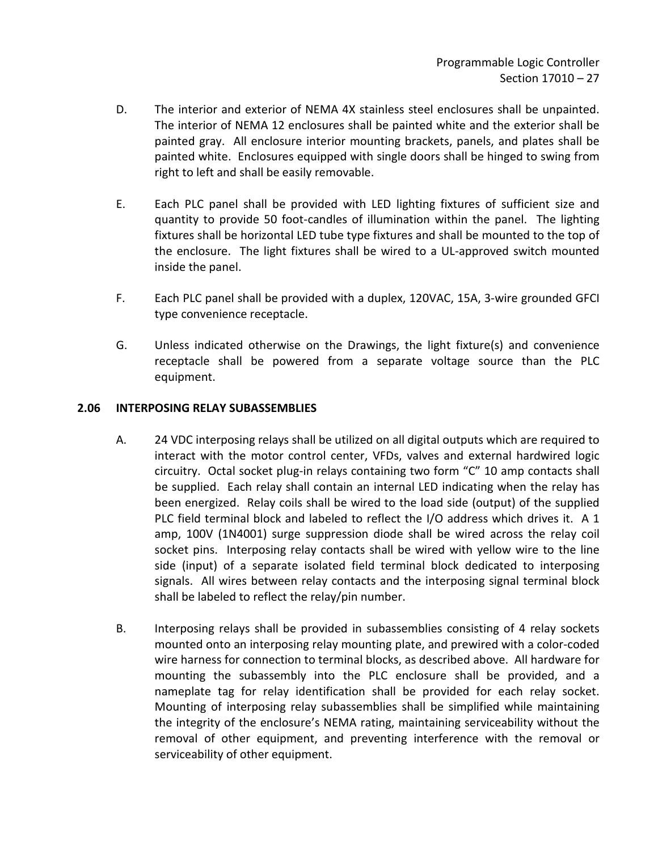- D. The interior and exterior of NEMA 4X stainless steel enclosures shall be unpainted. The interior of NEMA 12 enclosures shall be painted white and the exterior shall be painted gray. All enclosure interior mounting brackets, panels, and plates shall be painted white. Enclosures equipped with single doors shall be hinged to swing from right to left and shall be easily removable.
- E. Each PLC panel shall be provided with LED lighting fixtures of sufficient size and quantity to provide 50 foot-candles of illumination within the panel. The lighting fixtures shall be horizontal LED tube type fixtures and shall be mounted to the top of the enclosure. The light fixtures shall be wired to a UL-approved switch mounted inside the panel.
- F. Each PLC panel shall be provided with a duplex, 120VAC, 15A, 3-wire grounded GFCI type convenience receptacle.
- G. Unless indicated otherwise on the Drawings, the light fixture(s) and convenience receptacle shall be powered from a separate voltage source than the PLC equipment.

## <span id="page-28-0"></span>**2.06 INTERPOSING RELAY SUBASSEMBLIES**

- A. 24 VDC interposing relays shall be utilized on all digital outputs which are required to interact with the motor control center, VFDs, valves and external hardwired logic circuitry. Octal socket plug-in relays containing two form "C" 10 amp contacts shall be supplied. Each relay shall contain an internal LED indicating when the relay has been energized. Relay coils shall be wired to the load side (output) of the supplied PLC field terminal block and labeled to reflect the I/O address which drives it. A 1 amp, 100V (1N4001) surge suppression diode shall be wired across the relay coil socket pins. Interposing relay contacts shall be wired with yellow wire to the line side (input) of a separate isolated field terminal block dedicated to interposing signals. All wires between relay contacts and the interposing signal terminal block shall be labeled to reflect the relay/pin number.
- B. Interposing relays shall be provided in subassemblies consisting of 4 relay sockets mounted onto an interposing relay mounting plate, and prewired with a color-coded wire harness for connection to terminal blocks, as described above. All hardware for mounting the subassembly into the PLC enclosure shall be provided, and a nameplate tag for relay identification shall be provided for each relay socket. Mounting of interposing relay subassemblies shall be simplified while maintaining the integrity of the enclosure's NEMA rating, maintaining serviceability without the removal of other equipment, and preventing interference with the removal or serviceability of other equipment.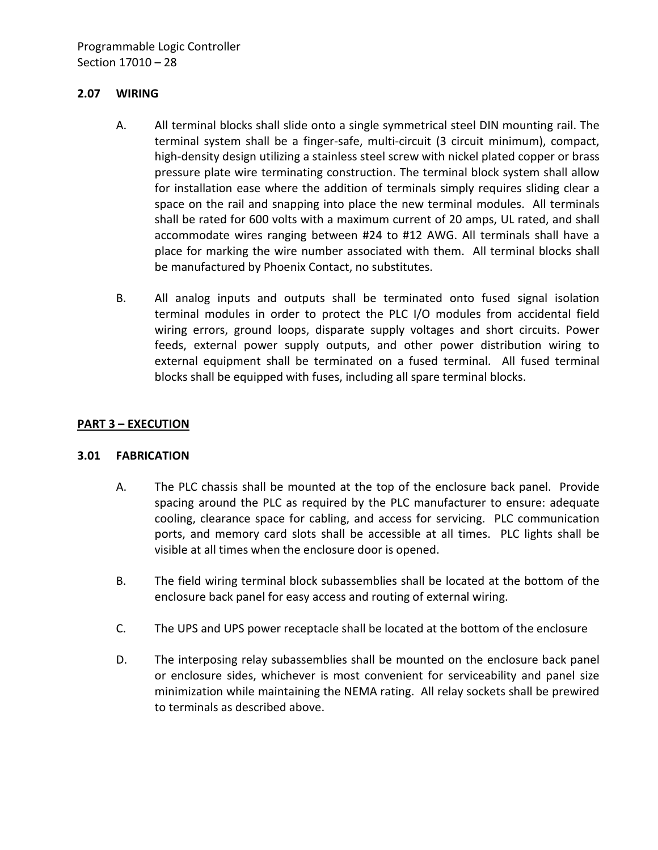#### <span id="page-29-0"></span>**2.07 WIRING**

- A. All terminal blocks shall slide onto a single symmetrical steel DIN mounting rail. The terminal system shall be a finger-safe, multi-circuit (3 circuit minimum), compact, high-density design utilizing a stainless steel screw with nickel plated copper or brass pressure plate wire terminating construction. The terminal block system shall allow for installation ease where the addition of terminals simply requires sliding clear a space on the rail and snapping into place the new terminal modules. All terminals shall be rated for 600 volts with a maximum current of 20 amps, UL rated, and shall accommodate wires ranging between #24 to #12 AWG. All terminals shall have a place for marking the wire number associated with them. All terminal blocks shall be manufactured by Phoenix Contact, no substitutes.
- B. All analog inputs and outputs shall be terminated onto fused signal isolation terminal modules in order to protect the PLC I/O modules from accidental field wiring errors, ground loops, disparate supply voltages and short circuits. Power feeds, external power supply outputs, and other power distribution wiring to external equipment shall be terminated on a fused terminal. All fused terminal blocks shall be equipped with fuses, including all spare terminal blocks.

### <span id="page-29-1"></span>**PART 3 – EXECUTION**

#### <span id="page-29-2"></span>**3.01 FABRICATION**

- A. The PLC chassis shall be mounted at the top of the enclosure back panel. Provide spacing around the PLC as required by the PLC manufacturer to ensure: adequate cooling, clearance space for cabling, and access for servicing. PLC communication ports, and memory card slots shall be accessible at all times. PLC lights shall be visible at all times when the enclosure door is opened.
- B. The field wiring terminal block subassemblies shall be located at the bottom of the enclosure back panel for easy access and routing of external wiring.
- C. The UPS and UPS power receptacle shall be located at the bottom of the enclosure
- D. The interposing relay subassemblies shall be mounted on the enclosure back panel or enclosure sides, whichever is most convenient for serviceability and panel size minimization while maintaining the NEMA rating. All relay sockets shall be prewired to terminals as described above.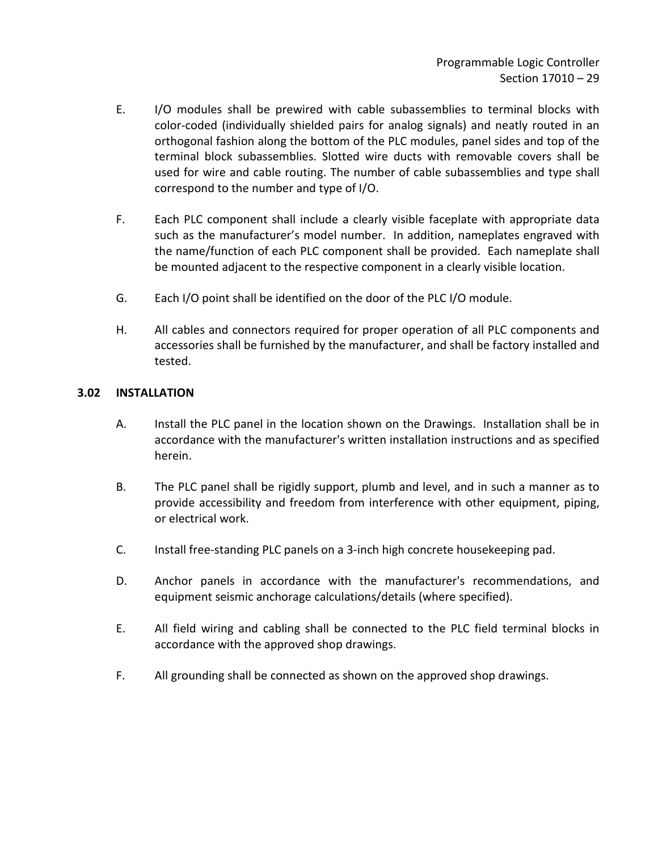- E. I/O modules shall be prewired with cable subassemblies to terminal blocks with color-coded (individually shielded pairs for analog signals) and neatly routed in an orthogonal fashion along the bottom of the PLC modules, panel sides and top of the terminal block subassemblies. Slotted wire ducts with removable covers shall be used for wire and cable routing. The number of cable subassemblies and type shall correspond to the number and type of I/O.
- F. Each PLC component shall include a clearly visible faceplate with appropriate data such as the manufacturer's model number. In addition, nameplates engraved with the name/function of each PLC component shall be provided. Each nameplate shall be mounted adjacent to the respective component in a clearly visible location.
- G. Each I/O point shall be identified on the door of the PLC I/O module.
- H. All cables and connectors required for proper operation of all PLC components and accessories shall be furnished by the manufacturer, and shall be factory installed and tested.

#### <span id="page-30-0"></span>**3.02 INSTALLATION**

- A. Install the PLC panel in the location shown on the Drawings. Installation shall be in accordance with the manufacturer's written installation instructions and as specified herein.
- B. The PLC panel shall be rigidly support, plumb and level, and in such a manner as to provide accessibility and freedom from interference with other equipment, piping, or electrical work.
- C. Install free-standing PLC panels on a 3-inch high concrete housekeeping pad.
- D. Anchor panels in accordance with the manufacturer's recommendations, and equipment seismic anchorage calculations/details (where specified).
- E. All field wiring and cabling shall be connected to the PLC field terminal blocks in accordance with the approved shop drawings.
- F. All grounding shall be connected as shown on the approved shop drawings.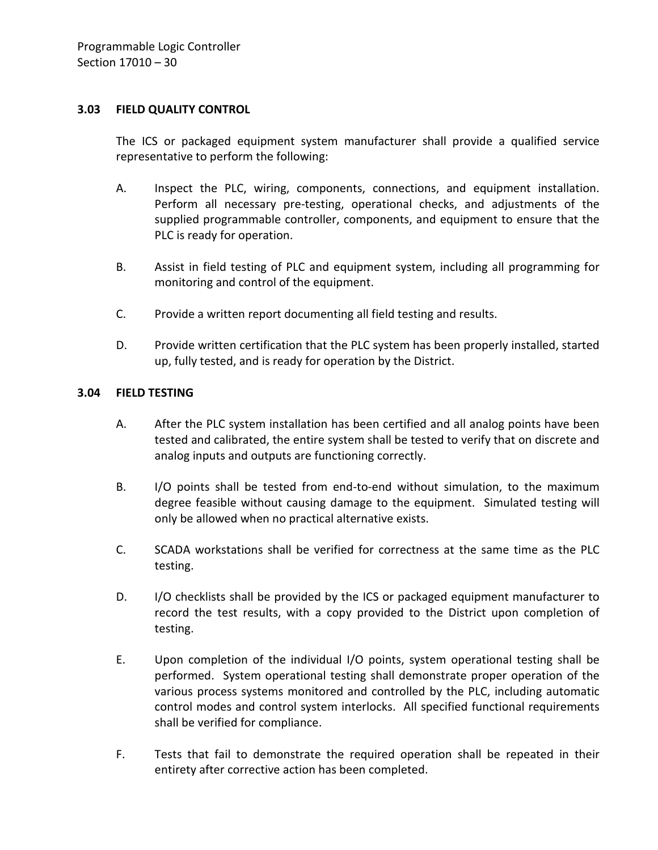#### <span id="page-31-0"></span>**3.03 FIELD QUALITY CONTROL**

The ICS or packaged equipment system manufacturer shall provide a qualified service representative to perform the following:

- A. Inspect the PLC, wiring, components, connections, and equipment installation. Perform all necessary pre-testing, operational checks, and adjustments of the supplied programmable controller, components, and equipment to ensure that the PLC is ready for operation.
- B. Assist in field testing of PLC and equipment system, including all programming for monitoring and control of the equipment.
- C. Provide a written report documenting all field testing and results.
- D. Provide written certification that the PLC system has been properly installed, started up, fully tested, and is ready for operation by the District.

#### <span id="page-31-1"></span>**3.04 FIELD TESTING**

- A. After the PLC system installation has been certified and all analog points have been tested and calibrated, the entire system shall be tested to verify that on discrete and analog inputs and outputs are functioning correctly.
- B. I/O points shall be tested from end-to-end without simulation, to the maximum degree feasible without causing damage to the equipment. Simulated testing will only be allowed when no practical alternative exists.
- C. SCADA workstations shall be verified for correctness at the same time as the PLC testing.
- D. I/O checklists shall be provided by the ICS or packaged equipment manufacturer to record the test results, with a copy provided to the District upon completion of testing.
- E. Upon completion of the individual I/O points, system operational testing shall be performed. System operational testing shall demonstrate proper operation of the various process systems monitored and controlled by the PLC, including automatic control modes and control system interlocks. All specified functional requirements shall be verified for compliance.
- F. Tests that fail to demonstrate the required operation shall be repeated in their entirety after corrective action has been completed.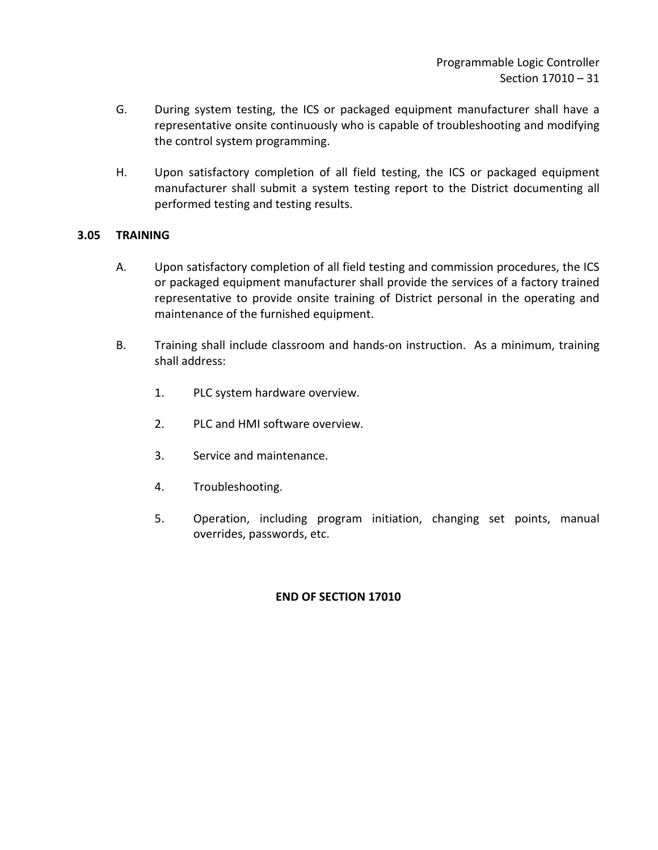- G. During system testing, the ICS or packaged equipment manufacturer shall have a representative onsite continuously who is capable of troubleshooting and modifying the control system programming.
- H. Upon satisfactory completion of all field testing, the ICS or packaged equipment manufacturer shall submit a system testing report to the District documenting all performed testing and testing results.

## <span id="page-32-0"></span>**3.05 TRAINING**

- A. Upon satisfactory completion of all field testing and commission procedures, the ICS or packaged equipment manufacturer shall provide the services of a factory trained representative to provide onsite training of District personal in the operating and maintenance of the furnished equipment.
- B. Training shall include classroom and hands-on instruction. As a minimum, training shall address:
	- 1. PLC system hardware overview.
	- 2. PLC and HMI software overview.
	- 3. Service and maintenance.
	- 4. Troubleshooting.
	- 5. Operation, including program initiation, changing set points, manual overrides, passwords, etc.

## **END OF SECTION 17010**